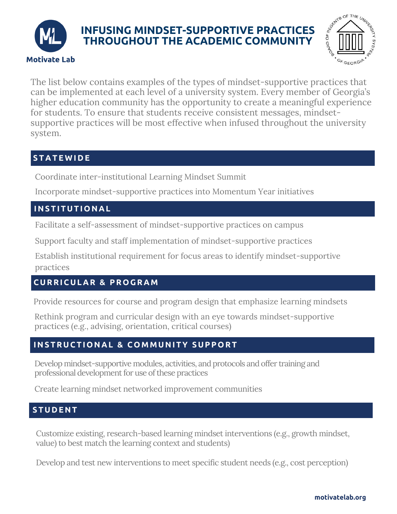

# **INFUSING MINDSET-SUPPORTIVE PRACTICES THROUGHOUT THE ACADEMIC COMMUNITY**



The list below contains examples of the types of mindset-supportive practices that can be implemented at each level of a university system. Every member of Georgia's higher education community has the opportunity to create a meaningful experience for students. To ensure that students receive consistent messages, mindsetsupportive practices will be most effective when infused throughout the university system.

# **S T A T E W I D E**

Coordinate inter-institutional Learning Mindset Summit

Incorporate mindset-supportive practices into Momentum Year initiatives

## **INSTIT U TIONA L**

Facilitate a self-assessment of mindset-supportive practices on campus

Support faculty and staff implementation of mindset-supportive practices

Establish institutional requirement for focus areas to identify mindset-supportive practices

# **C U RRIC U L A R & PROG R A M**

Provide resources for course and program design that emphasize learning mindsets

Rethink program and curricular design with an eye towards mindset-supportive practices (e.g., advising, orientation, critical courses)

# **INSTR U CTIONA L & COM M UNITY S U PPORT**

Develop mindset-supportive modules, activities, and protocols and offer training and professional development for use of these practices

Create learning mindset networked improvement communities

# **ST U D ENT**

Customize existing, research-based learning mindset interventions (e.g., growth mindset, value) to best match the learning context and students)

Develop and test new interventions to meet specific student needs (e.g., cost perception)